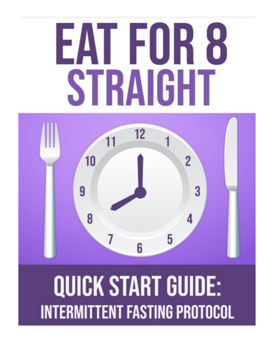# EAT FOR 8 STRAIGHT



## **QUICK START GUIDE: INTERMITTENT FASTING PROTOCOL**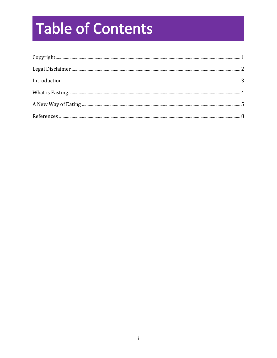### **Table of Contents**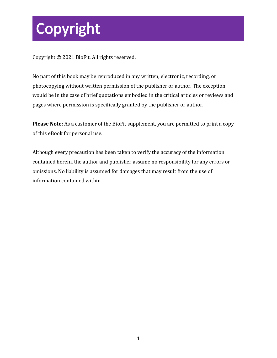### Copyright

Copyright © 2021 BioFit. All rights reserved.

No part of this book may be reproduced in any written, electronic, recording, or photocopying without written permission of the publisher or author. The exception would be in the case of brief quotations embodied in the critical articles or reviews and pages where permission is specifically granted by the publisher or author.

**Please Note:** As a customer of the BioFit supplement, you are permitted to print a copy of this eBook for personal use.

Although every precaution has been taken to verify the accuracy of the information contained herein, the author and publisher assume no responsibility for any errors or omissions. No liability is assumed for damages that may result from the use of information contained within.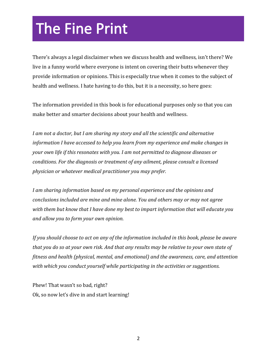### **The Fine Print**

There's always a legal disclaimer when we discuss health and wellness, isn't there? We live in a funny world where everyone is intent on covering their butts whenever they provide information or opinions. This is especially true when it comes to the subject of health and wellness. I hate having to do this, but it is a necessity, so here goes:

The information provided in this book is for educational purposes only so that you can make better and smarter decisions about your health and wellness.

*I am not a doctor, but I am sharing my story and all the scientific and alternative information I have accessed to help you learn from my experience and make changes in your own life if this resonates with you. I am not permitted to diagnose diseases or conditions. For the diagnosis or treatment of any ailment, please consult a licensed physician or whatever medical practitioner you may prefer.*

*I am sharing information based on my personal experience and the opinions and conclusions included are mine and mine alone. You and others may or may not agree with them but know that I have done my best to impart information that will educate you and allow you to form your own opinion.*

*If you should choose to act on any of the information included in this book, please be aware that you do so at your own risk. And that any results may be relative to your own state of fitness and health (physical, mental, and emotional) and the awareness, care, and attention with which you conduct yourself while participating in the activities or suggestions.*

Phew! That wasn't so bad, right? Ok, so now let's dive in and start learning!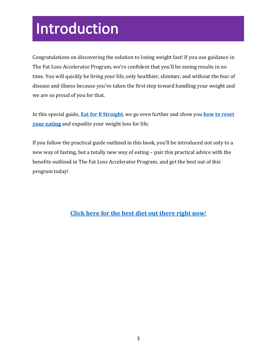### Introduction

Congratulations on discovering the solution to losing weight fast! If you use guidance in The Fat Loss Accelerator Program, we're confident that you'll be seeing results in no time. You will quickly be living your life, only healthier, slimmer, and without the fear of disease and illness because you've taken the first step toward handling your weight and we are so proud of you for that.

In this special guide, **[Eat for 8 Straight](https://54dc8koep7g6xixxlbr27n1a4f.hop.clickbank.net/)**, we go even further and show you **[how to reset](https://54dc8koep7g6xixxlbr27n1a4f.hop.clickbank.net/) [your eating](https://54dc8koep7g6xixxlbr27n1a4f.hop.clickbank.net/)** and expedite your weight loss for life.

If you follow the practical guide outlined in this book, you'll be introduced not only to a new way of fasting, but a totally new way of eating – pair this practical advice with the benefits outlined in The Fat Loss Accelerator Program, and get the best out of this program today!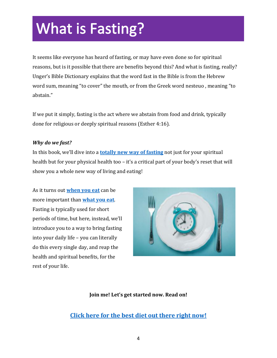### **What is Fasting?**

It seems like everyone has heard of fasting, or may have even done so for spiritual reasons, but is it possible that there are benefits beyond this? And what is fasting, really? Unger's Bible Dictionary explains that the word fast in the Bible is from the Hebrew word sum, meaning "to cover" the mouth, or from the Greek word nesteuo , meaning "to abstain."

If we put it simply, fasting is the act where we abstain from food and drink, typically done for religious or deeply spiritual reasons (Esther 4:16).

#### *Why do we fast?*

In this book, we'll dive into a **[totally new way of fasting](https://54dc8koep7g6xixxlbr27n1a4f.hop.clickbank.net/)** not just for your spiritual health but for your physical health too – it's a critical part of your body's reset that will show you a whole new way of living and eating!

As it turns out **[when you eat](https://54dc8koep7g6xixxlbr27n1a4f.hop.clickbank.net/)** can be more important than **[what you eat](https://54dc8koep7g6xixxlbr27n1a4f.hop.clickbank.net/)**. Fasting is typically used for short periods of time, but here, instead, we'll introduce you to a way to bring fasting into your daily life – you can literally do this every single day, and reap the health and spiritual benefits, for the rest of your life.



#### **Join me! Let's get started now. Read on!**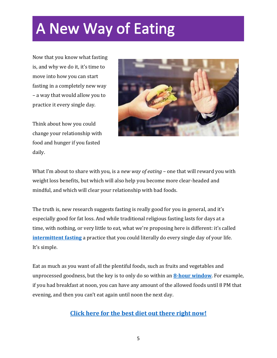### **A New Way of Eating**

Now that you know what fasting is, and why we do it, it's time to move into how you can start fasting in a completely new way – a way that would allow you to practice it every single day.

Think about how you could change your relationship with food and hunger if you fasted daily.



What I'm about to share with you, is a *new way of eating* – one that will reward you with weight loss benefits, but which will also help you become more clear-headed and mindful, and which will clear your relationship with bad foods.

The truth is, new research suggests fasting is really good for you in general, and it's especially good for fat loss. And while traditional religious fasting lasts for days at a time, with nothing, or very little to eat, what we're proposing here is different: it's called **[intermittent fasting](https://54dc8koep7g6xixxlbr27n1a4f.hop.clickbank.net/)** a practice that you could literally do every single day of your life. It's simple.

Eat as much as you want of all the plentiful foods, such as fruits and vegetables and unprocessed goodness, but the key is to only do so within an **8-hour [window](https://54dc8koep7g6xixxlbr27n1a4f.hop.clickbank.net/)**. For example, if you had breakfast at noon, you can have any amount of the allowed foods until 8 PM that evening, and then you can't eat again until noon the next day.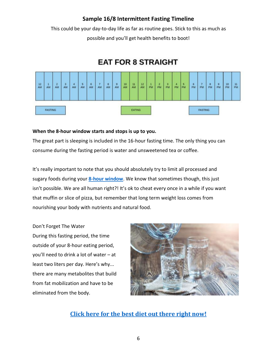#### **Sample 16/8 Intermittent Fasting Timeline**

This could be your day-to-day life as far as routine goes. Stick to this as much as possible and you'll get health benefits to boot!

### **EAT FOR 8 STRAIGHT**



**When the 8-hour window starts and stops is up to you.**

The great part is sleeping is included in the 16-hour fasting time. The only thing you can consume during the fasting period is water and unsweetened tea or coffee.

It's really important to note that you should absolutely try to limit all processed and sugary foods during your **[8-hour window](https://54dc8koep7g6xixxlbr27n1a4f.hop.clickbank.net/)**. We know that sometimes though, this just isn't possible. We are all human right?! It's ok to cheat every once in a while if you want that muffin or slice of pizza, but remember that long term weight loss comes from nourishing your body with nutrients and natural food.

Don't Forget The Water During this fasting period, the time outside of your 8-hour eating period, you'll need to drink a lot of water – at least two liters per day. Here's why... there are many metabolites that build from fat mobilization and have to be eliminated from the body.

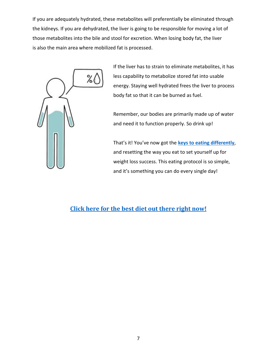If you are adequately hydrated, these metabolites will preferentially be eliminated through the kidneys. If you are dehydrated, the liver is going to be responsible for moving a lot of those metabolites into the bile and stool for excretion. When losing body fat, the liver is also the main area where mobilized fat is processed.



If the liver has to strain to eliminate metabolites, it has less capability to metabolize stored fat into usable energy. Staying well hydrated frees the liver to process body fat so that it can be burned as fuel.

Remember, our bodies are primarily made up of water and need it to function properly. So drink up!

That's it! You've now got the **[keys to eating differently](https://54dc8koep7g6xixxlbr27n1a4f.hop.clickbank.net/)**, and resetting the way you eat to set yourself up for weight loss success. This eating protocol is so simple, and it's something you can do every single day!